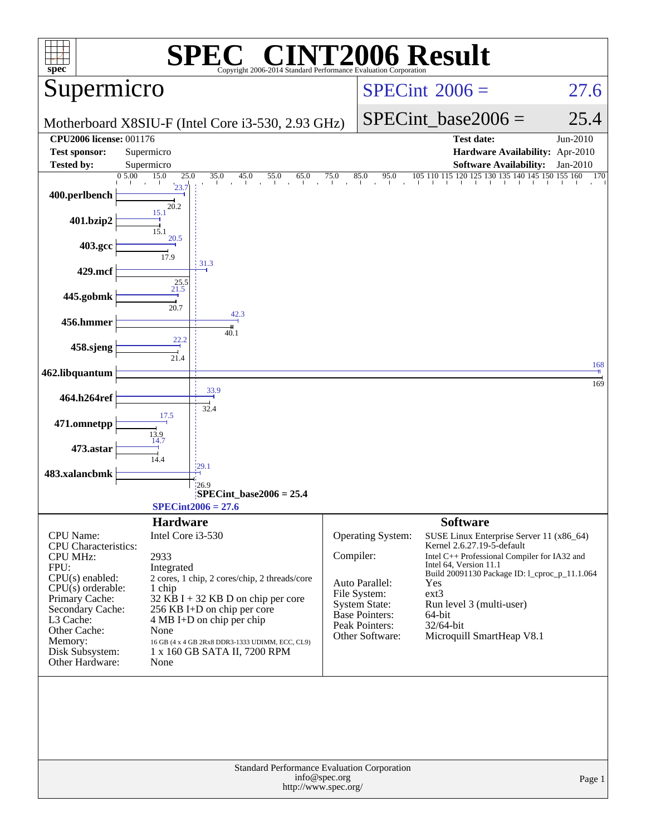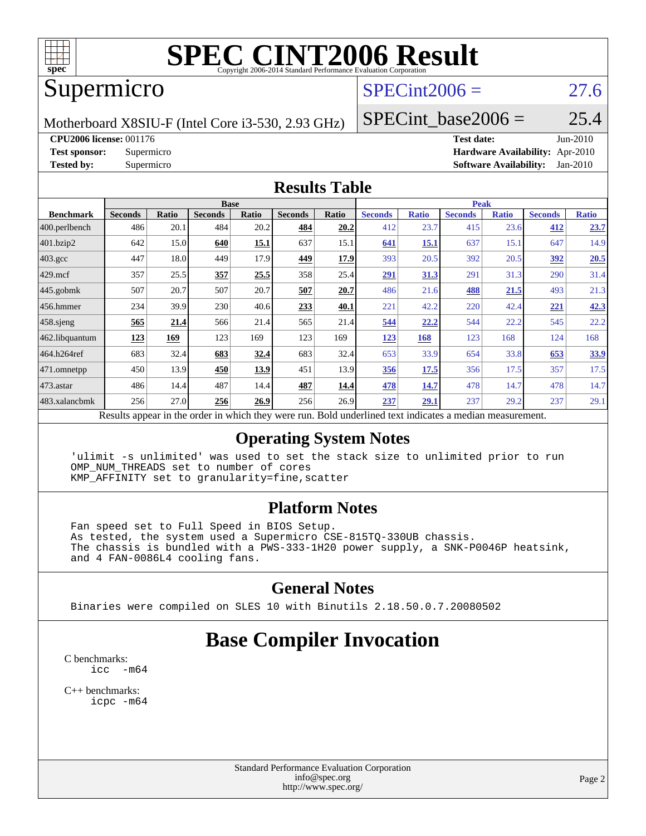

# **[SPEC CINT2006 Result](http://www.spec.org/auto/cpu2006/Docs/result-fields.html#SPECCINT2006Result)**

# Supermicro

# $SPECint2006 = 27.6$  $SPECint2006 = 27.6$

Motherboard X8SIU-F (Intel Core i3-530, 2.93 GHz)

#### SPECint base2006 =  $25.4$

#### **[CPU2006 license:](http://www.spec.org/auto/cpu2006/Docs/result-fields.html#CPU2006license)** 001176 **[Test date:](http://www.spec.org/auto/cpu2006/Docs/result-fields.html#Testdate)** Jun-2010

**[Test sponsor:](http://www.spec.org/auto/cpu2006/Docs/result-fields.html#Testsponsor)** Supermicro **[Hardware Availability:](http://www.spec.org/auto/cpu2006/Docs/result-fields.html#HardwareAvailability)** Apr-2010 **[Tested by:](http://www.spec.org/auto/cpu2006/Docs/result-fields.html#Testedby)** Supermicro **[Software Availability:](http://www.spec.org/auto/cpu2006/Docs/result-fields.html#SoftwareAvailability)** Jan-2010

#### **[Results Table](http://www.spec.org/auto/cpu2006/Docs/result-fields.html#ResultsTable)**

|                         |                | <b>Base</b><br><b>Peak</b> |                |       |                |       |                                                                                                         |              |                |              |                |              |
|-------------------------|----------------|----------------------------|----------------|-------|----------------|-------|---------------------------------------------------------------------------------------------------------|--------------|----------------|--------------|----------------|--------------|
| <b>Benchmark</b>        | <b>Seconds</b> | Ratio                      | <b>Seconds</b> | Ratio | <b>Seconds</b> | Ratio | <b>Seconds</b>                                                                                          | <b>Ratio</b> | <b>Seconds</b> | <b>Ratio</b> | <b>Seconds</b> | <b>Ratio</b> |
| $ 400.\text{perlbench}$ | 486            | 20.1                       | 484            | 20.2  | 484            | 20.2  | 412                                                                                                     | 23.7         | 415            | 23.6         | 412            | 23.7         |
| 401.bzip2               | 642            | 15.0                       | 640            | 15.1  | 637            | 15.1  | 641                                                                                                     | 15.1         | 637            | 15.1         | 647            | 14.9         |
| $403.\text{gcc}$        | 447            | 18.0                       | 449            | 17.9  | 449            | 17.9  | 393                                                                                                     | 20.5         | 392            | 20.5         | <u>392</u>     | 20.5         |
| $429$ mcf               | 357            | 25.5                       | 357            | 25.5  | 358            | 25.4  | <u>291</u>                                                                                              | 31.3         | 291            | 31.3         | 290            | 31.4         |
| $445$ .gobmk            | 507            | 20.7                       | 507            | 20.7  | 507            | 20.7  | 486                                                                                                     | 21.6         | 488            | 21.5         | 493            | 21.3         |
| 456.hmmer               | 234            | 39.9                       | 230            | 40.6  | 233            | 40.1  | 221                                                                                                     | 42.2         | 220            | 42.4         | <u>221</u>     | 42.3         |
| $458$ .sjeng            | 565            | 21.4                       | 566            | 21.4  | 565            | 21.4  | 544                                                                                                     | 22.2         | 544            | 22.2         | 545            | 22.2         |
| 462.libquantum          | 123            | 169                        | 123            | 169   | 123            | 169   | <u> 123</u>                                                                                             | 168          | 123            | 168          | 124            | 168          |
| 464.h264ref             | 683            | 32.4                       | 683            | 32.4  | 683            | 32.4  | 653                                                                                                     | 33.9         | 654            | 33.8         | 653            | 33.9         |
| 471.omnetpp             | 450            | 13.9                       | 450            | 13.9  | 451            | 13.9  | <b>356</b>                                                                                              | 17.5         | 356            | 17.5         | 357            | 17.5         |
| $ 473$ . astar          | 486            | 14.4                       | 487            | 14.4  | 487            | 14.4  | 478                                                                                                     | 14.7         | 478            | 14.7         | 478            | 14.7         |
| 483.xalancbmk           | 256            | 27.0                       | 256            | 26.9  | 256            | 26.9  | 237                                                                                                     | 29.1         | 237            | 29.2         | 237            | 29.1         |
|                         |                |                            |                |       |                |       | Results appear in the order in which they were run. Rold underlined text indicates a median measurement |              |                |              |                |              |

sults appear in the [order in which they were run.](http://www.spec.org/auto/cpu2006/Docs/result-fields.html#RunOrder) Bold underlined text [indicates a median measurement.](http://www.spec.org/auto/cpu2006/Docs/result-fields.html#Median)

#### **[Operating System Notes](http://www.spec.org/auto/cpu2006/Docs/result-fields.html#OperatingSystemNotes)**

 'ulimit -s unlimited' was used to set the stack size to unlimited prior to run OMP\_NUM\_THREADS set to number of cores KMP\_AFFINITY set to granularity=fine,scatter

#### **[Platform Notes](http://www.spec.org/auto/cpu2006/Docs/result-fields.html#PlatformNotes)**

 Fan speed set to Full Speed in BIOS Setup. As tested, the system used a Supermicro CSE-815TQ-330UB chassis. The chassis is bundled with a PWS-333-1H20 power supply, a SNK-P0046P heatsink, and 4 FAN-0086L4 cooling fans.

#### **[General Notes](http://www.spec.org/auto/cpu2006/Docs/result-fields.html#GeneralNotes)**

Binaries were compiled on SLES 10 with Binutils 2.18.50.0.7.20080502

# **[Base Compiler Invocation](http://www.spec.org/auto/cpu2006/Docs/result-fields.html#BaseCompilerInvocation)**

[C benchmarks](http://www.spec.org/auto/cpu2006/Docs/result-fields.html#Cbenchmarks):  $\text{icc}$   $-\text{m64}$ 

[C++ benchmarks:](http://www.spec.org/auto/cpu2006/Docs/result-fields.html#CXXbenchmarks) [icpc -m64](http://www.spec.org/cpu2006/results/res2010q3/cpu2006-20100621-11882.flags.html#user_CXXbase_intel_icpc_64bit_fc66a5337ce925472a5c54ad6a0de310)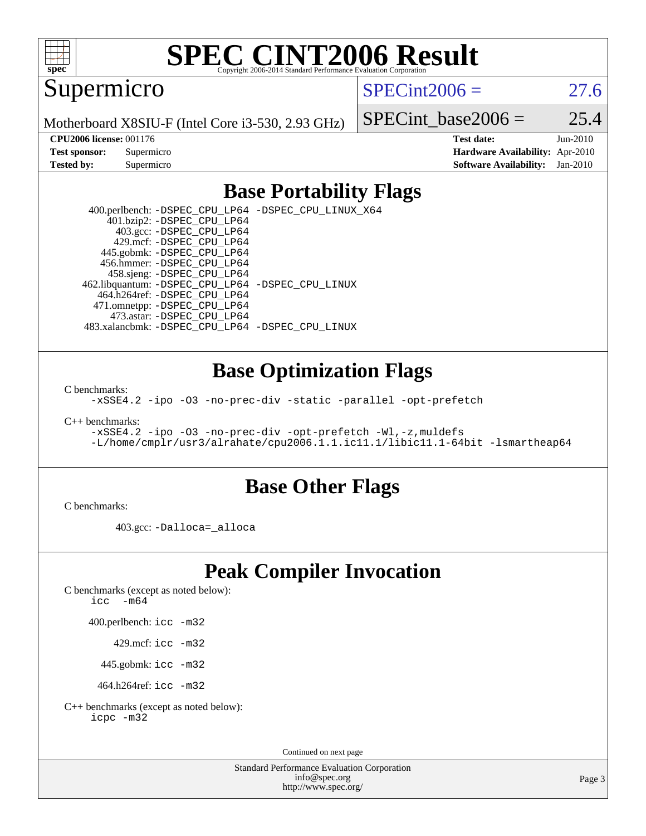

# **[SPEC CINT2006 Result](http://www.spec.org/auto/cpu2006/Docs/result-fields.html#SPECCINT2006Result)**

Supermicro

 $SPECint2006 = 27.6$  $SPECint2006 = 27.6$ 

Motherboard X8SIU-F (Intel Core i3-530, 2.93 GHz)

SPECint base2006 =  $25.4$ 

**[CPU2006 license:](http://www.spec.org/auto/cpu2006/Docs/result-fields.html#CPU2006license)** 001176 **[Test date:](http://www.spec.org/auto/cpu2006/Docs/result-fields.html#Testdate)** Jun-2010 **[Test sponsor:](http://www.spec.org/auto/cpu2006/Docs/result-fields.html#Testsponsor)** Supermicro **[Hardware Availability:](http://www.spec.org/auto/cpu2006/Docs/result-fields.html#HardwareAvailability)** Apr-2010 **[Tested by:](http://www.spec.org/auto/cpu2006/Docs/result-fields.html#Testedby)** Supermicro **[Software Availability:](http://www.spec.org/auto/cpu2006/Docs/result-fields.html#SoftwareAvailability)** Jan-2010

## **[Base Portability Flags](http://www.spec.org/auto/cpu2006/Docs/result-fields.html#BasePortabilityFlags)**

 400.perlbench: [-DSPEC\\_CPU\\_LP64](http://www.spec.org/cpu2006/results/res2010q3/cpu2006-20100621-11882.flags.html#b400.perlbench_basePORTABILITY_DSPEC_CPU_LP64) [-DSPEC\\_CPU\\_LINUX\\_X64](http://www.spec.org/cpu2006/results/res2010q3/cpu2006-20100621-11882.flags.html#b400.perlbench_baseCPORTABILITY_DSPEC_CPU_LINUX_X64) 401.bzip2: [-DSPEC\\_CPU\\_LP64](http://www.spec.org/cpu2006/results/res2010q3/cpu2006-20100621-11882.flags.html#suite_basePORTABILITY401_bzip2_DSPEC_CPU_LP64) 403.gcc: [-DSPEC\\_CPU\\_LP64](http://www.spec.org/cpu2006/results/res2010q3/cpu2006-20100621-11882.flags.html#suite_basePORTABILITY403_gcc_DSPEC_CPU_LP64) 429.mcf: [-DSPEC\\_CPU\\_LP64](http://www.spec.org/cpu2006/results/res2010q3/cpu2006-20100621-11882.flags.html#suite_basePORTABILITY429_mcf_DSPEC_CPU_LP64) 445.gobmk: [-DSPEC\\_CPU\\_LP64](http://www.spec.org/cpu2006/results/res2010q3/cpu2006-20100621-11882.flags.html#suite_basePORTABILITY445_gobmk_DSPEC_CPU_LP64) 456.hmmer: [-DSPEC\\_CPU\\_LP64](http://www.spec.org/cpu2006/results/res2010q3/cpu2006-20100621-11882.flags.html#suite_basePORTABILITY456_hmmer_DSPEC_CPU_LP64) 458.sjeng: [-DSPEC\\_CPU\\_LP64](http://www.spec.org/cpu2006/results/res2010q3/cpu2006-20100621-11882.flags.html#suite_basePORTABILITY458_sjeng_DSPEC_CPU_LP64) 462.libquantum: [-DSPEC\\_CPU\\_LP64](http://www.spec.org/cpu2006/results/res2010q3/cpu2006-20100621-11882.flags.html#suite_basePORTABILITY462_libquantum_DSPEC_CPU_LP64) [-DSPEC\\_CPU\\_LINUX](http://www.spec.org/cpu2006/results/res2010q3/cpu2006-20100621-11882.flags.html#b462.libquantum_baseCPORTABILITY_DSPEC_CPU_LINUX) 464.h264ref: [-DSPEC\\_CPU\\_LP64](http://www.spec.org/cpu2006/results/res2010q3/cpu2006-20100621-11882.flags.html#suite_basePORTABILITY464_h264ref_DSPEC_CPU_LP64) 471.omnetpp: [-DSPEC\\_CPU\\_LP64](http://www.spec.org/cpu2006/results/res2010q3/cpu2006-20100621-11882.flags.html#suite_basePORTABILITY471_omnetpp_DSPEC_CPU_LP64) 473.astar: [-DSPEC\\_CPU\\_LP64](http://www.spec.org/cpu2006/results/res2010q3/cpu2006-20100621-11882.flags.html#suite_basePORTABILITY473_astar_DSPEC_CPU_LP64) 483.xalancbmk: [-DSPEC\\_CPU\\_LP64](http://www.spec.org/cpu2006/results/res2010q3/cpu2006-20100621-11882.flags.html#suite_basePORTABILITY483_xalancbmk_DSPEC_CPU_LP64) [-DSPEC\\_CPU\\_LINUX](http://www.spec.org/cpu2006/results/res2010q3/cpu2006-20100621-11882.flags.html#b483.xalancbmk_baseCXXPORTABILITY_DSPEC_CPU_LINUX)

### **[Base Optimization Flags](http://www.spec.org/auto/cpu2006/Docs/result-fields.html#BaseOptimizationFlags)**

[C benchmarks](http://www.spec.org/auto/cpu2006/Docs/result-fields.html#Cbenchmarks):

[-xSSE4.2](http://www.spec.org/cpu2006/results/res2010q3/cpu2006-20100621-11882.flags.html#user_CCbase_f-xSSE42_f91528193cf0b216347adb8b939d4107) [-ipo](http://www.spec.org/cpu2006/results/res2010q3/cpu2006-20100621-11882.flags.html#user_CCbase_f-ipo) [-O3](http://www.spec.org/cpu2006/results/res2010q3/cpu2006-20100621-11882.flags.html#user_CCbase_f-O3) [-no-prec-div](http://www.spec.org/cpu2006/results/res2010q3/cpu2006-20100621-11882.flags.html#user_CCbase_f-no-prec-div) [-static](http://www.spec.org/cpu2006/results/res2010q3/cpu2006-20100621-11882.flags.html#user_CCbase_f-static) [-parallel](http://www.spec.org/cpu2006/results/res2010q3/cpu2006-20100621-11882.flags.html#user_CCbase_f-parallel) [-opt-prefetch](http://www.spec.org/cpu2006/results/res2010q3/cpu2006-20100621-11882.flags.html#user_CCbase_f-opt-prefetch)

[C++ benchmarks:](http://www.spec.org/auto/cpu2006/Docs/result-fields.html#CXXbenchmarks)

[-xSSE4.2](http://www.spec.org/cpu2006/results/res2010q3/cpu2006-20100621-11882.flags.html#user_CXXbase_f-xSSE42_f91528193cf0b216347adb8b939d4107) [-ipo](http://www.spec.org/cpu2006/results/res2010q3/cpu2006-20100621-11882.flags.html#user_CXXbase_f-ipo) [-O3](http://www.spec.org/cpu2006/results/res2010q3/cpu2006-20100621-11882.flags.html#user_CXXbase_f-O3) [-no-prec-div](http://www.spec.org/cpu2006/results/res2010q3/cpu2006-20100621-11882.flags.html#user_CXXbase_f-no-prec-div) [-opt-prefetch](http://www.spec.org/cpu2006/results/res2010q3/cpu2006-20100621-11882.flags.html#user_CXXbase_f-opt-prefetch) [-Wl,-z,muldefs](http://www.spec.org/cpu2006/results/res2010q3/cpu2006-20100621-11882.flags.html#user_CXXbase_link_force_multiple1_74079c344b956b9658436fd1b6dd3a8a) [-L/home/cmplr/usr3/alrahate/cpu2006.1.1.ic11.1/libic11.1-64bit -lsmartheap64](http://www.spec.org/cpu2006/results/res2010q3/cpu2006-20100621-11882.flags.html#user_CXXbase_SmartHeap64_e2306cda84805d1ab360117a79ff779c)

#### **[Base Other Flags](http://www.spec.org/auto/cpu2006/Docs/result-fields.html#BaseOtherFlags)**

[C benchmarks](http://www.spec.org/auto/cpu2006/Docs/result-fields.html#Cbenchmarks):

403.gcc: [-Dalloca=\\_alloca](http://www.spec.org/cpu2006/results/res2010q3/cpu2006-20100621-11882.flags.html#b403.gcc_baseEXTRA_CFLAGS_Dalloca_be3056838c12de2578596ca5467af7f3)

# **[Peak Compiler Invocation](http://www.spec.org/auto/cpu2006/Docs/result-fields.html#PeakCompilerInvocation)**

[C benchmarks \(except as noted below\)](http://www.spec.org/auto/cpu2006/Docs/result-fields.html#Cbenchmarksexceptasnotedbelow):

icc  $-m64$ 

400.perlbench: [icc -m32](http://www.spec.org/cpu2006/results/res2010q3/cpu2006-20100621-11882.flags.html#user_peakCCLD400_perlbench_intel_icc_32bit_a6a621f8d50482236b970c6ac5f55f93)

429.mcf: [icc -m32](http://www.spec.org/cpu2006/results/res2010q3/cpu2006-20100621-11882.flags.html#user_peakCCLD429_mcf_intel_icc_32bit_a6a621f8d50482236b970c6ac5f55f93)

445.gobmk: [icc -m32](http://www.spec.org/cpu2006/results/res2010q3/cpu2006-20100621-11882.flags.html#user_peakCCLD445_gobmk_intel_icc_32bit_a6a621f8d50482236b970c6ac5f55f93)

464.h264ref: [icc -m32](http://www.spec.org/cpu2006/results/res2010q3/cpu2006-20100621-11882.flags.html#user_peakCCLD464_h264ref_intel_icc_32bit_a6a621f8d50482236b970c6ac5f55f93)

[C++ benchmarks \(except as noted below\):](http://www.spec.org/auto/cpu2006/Docs/result-fields.html#CXXbenchmarksexceptasnotedbelow) [icpc -m32](http://www.spec.org/cpu2006/results/res2010q3/cpu2006-20100621-11882.flags.html#user_CXXpeak_intel_icpc_32bit_4e5a5ef1a53fd332b3c49e69c3330699)

Continued on next page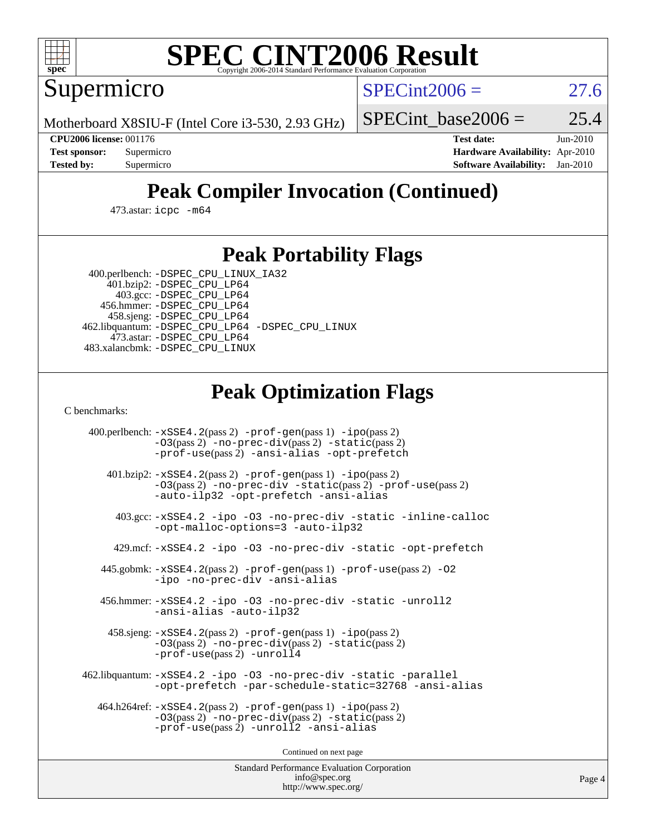

# **[SPEC CINT2006 Result](http://www.spec.org/auto/cpu2006/Docs/result-fields.html#SPECCINT2006Result)**

Supermicro

 $SPECint2006 = 27.6$  $SPECint2006 = 27.6$ 

Motherboard X8SIU-F (Intel Core i3-530, 2.93 GHz)

SPECint base2006 =  $25.4$ 

**[CPU2006 license:](http://www.spec.org/auto/cpu2006/Docs/result-fields.html#CPU2006license)** 001176 **[Test date:](http://www.spec.org/auto/cpu2006/Docs/result-fields.html#Testdate)** Jun-2010 **[Test sponsor:](http://www.spec.org/auto/cpu2006/Docs/result-fields.html#Testsponsor)** Supermicro **[Hardware Availability:](http://www.spec.org/auto/cpu2006/Docs/result-fields.html#HardwareAvailability)** Apr-2010 **[Tested by:](http://www.spec.org/auto/cpu2006/Docs/result-fields.html#Testedby)** Supermicro **[Software Availability:](http://www.spec.org/auto/cpu2006/Docs/result-fields.html#SoftwareAvailability)** Jan-2010

# **[Peak Compiler Invocation \(Continued\)](http://www.spec.org/auto/cpu2006/Docs/result-fields.html#PeakCompilerInvocation)**

473.astar: [icpc -m64](http://www.spec.org/cpu2006/results/res2010q3/cpu2006-20100621-11882.flags.html#user_peakCXXLD473_astar_intel_icpc_64bit_fc66a5337ce925472a5c54ad6a0de310)

## **[Peak Portability Flags](http://www.spec.org/auto/cpu2006/Docs/result-fields.html#PeakPortabilityFlags)**

 400.perlbench: [-DSPEC\\_CPU\\_LINUX\\_IA32](http://www.spec.org/cpu2006/results/res2010q3/cpu2006-20100621-11882.flags.html#b400.perlbench_peakCPORTABILITY_DSPEC_CPU_LINUX_IA32) 401.bzip2: [-DSPEC\\_CPU\\_LP64](http://www.spec.org/cpu2006/results/res2010q3/cpu2006-20100621-11882.flags.html#suite_peakPORTABILITY401_bzip2_DSPEC_CPU_LP64)

 403.gcc: [-DSPEC\\_CPU\\_LP64](http://www.spec.org/cpu2006/results/res2010q3/cpu2006-20100621-11882.flags.html#suite_peakPORTABILITY403_gcc_DSPEC_CPU_LP64) 456.hmmer: [-DSPEC\\_CPU\\_LP64](http://www.spec.org/cpu2006/results/res2010q3/cpu2006-20100621-11882.flags.html#suite_peakPORTABILITY456_hmmer_DSPEC_CPU_LP64) 458.sjeng: [-DSPEC\\_CPU\\_LP64](http://www.spec.org/cpu2006/results/res2010q3/cpu2006-20100621-11882.flags.html#suite_peakPORTABILITY458_sjeng_DSPEC_CPU_LP64) 462.libquantum: [-DSPEC\\_CPU\\_LP64](http://www.spec.org/cpu2006/results/res2010q3/cpu2006-20100621-11882.flags.html#suite_peakPORTABILITY462_libquantum_DSPEC_CPU_LP64) [-DSPEC\\_CPU\\_LINUX](http://www.spec.org/cpu2006/results/res2010q3/cpu2006-20100621-11882.flags.html#b462.libquantum_peakCPORTABILITY_DSPEC_CPU_LINUX) 473.astar: [-DSPEC\\_CPU\\_LP64](http://www.spec.org/cpu2006/results/res2010q3/cpu2006-20100621-11882.flags.html#suite_peakPORTABILITY473_astar_DSPEC_CPU_LP64) 483.xalancbmk: [-DSPEC\\_CPU\\_LINUX](http://www.spec.org/cpu2006/results/res2010q3/cpu2006-20100621-11882.flags.html#b483.xalancbmk_peakCXXPORTABILITY_DSPEC_CPU_LINUX)

# **[Peak Optimization Flags](http://www.spec.org/auto/cpu2006/Docs/result-fields.html#PeakOptimizationFlags)**

[C benchmarks](http://www.spec.org/auto/cpu2006/Docs/result-fields.html#Cbenchmarks):

 400.perlbench: [-xSSE4.2](http://www.spec.org/cpu2006/results/res2010q3/cpu2006-20100621-11882.flags.html#user_peakPASS2_CFLAGSPASS2_LDCFLAGS400_perlbench_f-xSSE42_f91528193cf0b216347adb8b939d4107)(pass 2) [-prof-gen](http://www.spec.org/cpu2006/results/res2010q3/cpu2006-20100621-11882.flags.html#user_peakPASS1_CFLAGSPASS1_LDCFLAGS400_perlbench_prof_gen_e43856698f6ca7b7e442dfd80e94a8fc)(pass 1) [-ipo](http://www.spec.org/cpu2006/results/res2010q3/cpu2006-20100621-11882.flags.html#user_peakPASS2_CFLAGSPASS2_LDCFLAGS400_perlbench_f-ipo)(pass 2) [-O3](http://www.spec.org/cpu2006/results/res2010q3/cpu2006-20100621-11882.flags.html#user_peakPASS2_CFLAGSPASS2_LDCFLAGS400_perlbench_f-O3)(pass 2) [-no-prec-div](http://www.spec.org/cpu2006/results/res2010q3/cpu2006-20100621-11882.flags.html#user_peakPASS2_CFLAGSPASS2_LDCFLAGS400_perlbench_f-no-prec-div)(pass 2) [-static](http://www.spec.org/cpu2006/results/res2010q3/cpu2006-20100621-11882.flags.html#user_peakPASS2_CFLAGSPASS2_LDCFLAGS400_perlbench_f-static)(pass 2) [-prof-use](http://www.spec.org/cpu2006/results/res2010q3/cpu2006-20100621-11882.flags.html#user_peakPASS2_CFLAGSPASS2_LDCFLAGS400_perlbench_prof_use_bccf7792157ff70d64e32fe3e1250b55)(pass 2) [-ansi-alias](http://www.spec.org/cpu2006/results/res2010q3/cpu2006-20100621-11882.flags.html#user_peakCOPTIMIZE400_perlbench_f-ansi-alias) [-opt-prefetch](http://www.spec.org/cpu2006/results/res2010q3/cpu2006-20100621-11882.flags.html#user_peakCOPTIMIZE400_perlbench_f-opt-prefetch) 401.bzip2: [-xSSE4.2](http://www.spec.org/cpu2006/results/res2010q3/cpu2006-20100621-11882.flags.html#user_peakPASS2_CFLAGSPASS2_LDCFLAGS401_bzip2_f-xSSE42_f91528193cf0b216347adb8b939d4107)(pass 2) [-prof-gen](http://www.spec.org/cpu2006/results/res2010q3/cpu2006-20100621-11882.flags.html#user_peakPASS1_CFLAGSPASS1_LDCFLAGS401_bzip2_prof_gen_e43856698f6ca7b7e442dfd80e94a8fc)(pass 1) [-ipo](http://www.spec.org/cpu2006/results/res2010q3/cpu2006-20100621-11882.flags.html#user_peakPASS2_CFLAGSPASS2_LDCFLAGS401_bzip2_f-ipo)(pass 2) [-O3](http://www.spec.org/cpu2006/results/res2010q3/cpu2006-20100621-11882.flags.html#user_peakPASS2_CFLAGSPASS2_LDCFLAGS401_bzip2_f-O3)(pass 2) [-no-prec-div](http://www.spec.org/cpu2006/results/res2010q3/cpu2006-20100621-11882.flags.html#user_peakCOPTIMIZEPASS2_CFLAGSPASS2_LDCFLAGS401_bzip2_f-no-prec-div) [-static](http://www.spec.org/cpu2006/results/res2010q3/cpu2006-20100621-11882.flags.html#user_peakPASS2_CFLAGSPASS2_LDCFLAGS401_bzip2_f-static)(pass 2) [-prof-use](http://www.spec.org/cpu2006/results/res2010q3/cpu2006-20100621-11882.flags.html#user_peakPASS2_CFLAGSPASS2_LDCFLAGS401_bzip2_prof_use_bccf7792157ff70d64e32fe3e1250b55)(pass 2) [-auto-ilp32](http://www.spec.org/cpu2006/results/res2010q3/cpu2006-20100621-11882.flags.html#user_peakCOPTIMIZE401_bzip2_f-auto-ilp32) [-opt-prefetch](http://www.spec.org/cpu2006/results/res2010q3/cpu2006-20100621-11882.flags.html#user_peakCOPTIMIZE401_bzip2_f-opt-prefetch) [-ansi-alias](http://www.spec.org/cpu2006/results/res2010q3/cpu2006-20100621-11882.flags.html#user_peakCOPTIMIZE401_bzip2_f-ansi-alias) 403.gcc: [-xSSE4.2](http://www.spec.org/cpu2006/results/res2010q3/cpu2006-20100621-11882.flags.html#user_peakCOPTIMIZE403_gcc_f-xSSE42_f91528193cf0b216347adb8b939d4107) [-ipo](http://www.spec.org/cpu2006/results/res2010q3/cpu2006-20100621-11882.flags.html#user_peakCOPTIMIZE403_gcc_f-ipo) [-O3](http://www.spec.org/cpu2006/results/res2010q3/cpu2006-20100621-11882.flags.html#user_peakCOPTIMIZE403_gcc_f-O3) [-no-prec-div](http://www.spec.org/cpu2006/results/res2010q3/cpu2006-20100621-11882.flags.html#user_peakCOPTIMIZE403_gcc_f-no-prec-div) [-static](http://www.spec.org/cpu2006/results/res2010q3/cpu2006-20100621-11882.flags.html#user_peakCOPTIMIZE403_gcc_f-static) [-inline-calloc](http://www.spec.org/cpu2006/results/res2010q3/cpu2006-20100621-11882.flags.html#user_peakCOPTIMIZE403_gcc_f-inline-calloc) [-opt-malloc-options=3](http://www.spec.org/cpu2006/results/res2010q3/cpu2006-20100621-11882.flags.html#user_peakCOPTIMIZE403_gcc_f-opt-malloc-options_13ab9b803cf986b4ee62f0a5998c2238) [-auto-ilp32](http://www.spec.org/cpu2006/results/res2010q3/cpu2006-20100621-11882.flags.html#user_peakCOPTIMIZE403_gcc_f-auto-ilp32) 429.mcf: [-xSSE4.2](http://www.spec.org/cpu2006/results/res2010q3/cpu2006-20100621-11882.flags.html#user_peakCOPTIMIZE429_mcf_f-xSSE42_f91528193cf0b216347adb8b939d4107) [-ipo](http://www.spec.org/cpu2006/results/res2010q3/cpu2006-20100621-11882.flags.html#user_peakCOPTIMIZE429_mcf_f-ipo) [-O3](http://www.spec.org/cpu2006/results/res2010q3/cpu2006-20100621-11882.flags.html#user_peakCOPTIMIZE429_mcf_f-O3) [-no-prec-div](http://www.spec.org/cpu2006/results/res2010q3/cpu2006-20100621-11882.flags.html#user_peakCOPTIMIZE429_mcf_f-no-prec-div) [-static](http://www.spec.org/cpu2006/results/res2010q3/cpu2006-20100621-11882.flags.html#user_peakCOPTIMIZE429_mcf_f-static) [-opt-prefetch](http://www.spec.org/cpu2006/results/res2010q3/cpu2006-20100621-11882.flags.html#user_peakCOPTIMIZE429_mcf_f-opt-prefetch) 445.gobmk: [-xSSE4.2](http://www.spec.org/cpu2006/results/res2010q3/cpu2006-20100621-11882.flags.html#user_peakPASS2_CFLAGSPASS2_LDCFLAGS445_gobmk_f-xSSE42_f91528193cf0b216347adb8b939d4107)(pass 2) [-prof-gen](http://www.spec.org/cpu2006/results/res2010q3/cpu2006-20100621-11882.flags.html#user_peakPASS1_CFLAGSPASS1_LDCFLAGS445_gobmk_prof_gen_e43856698f6ca7b7e442dfd80e94a8fc)(pass 1) [-prof-use](http://www.spec.org/cpu2006/results/res2010q3/cpu2006-20100621-11882.flags.html#user_peakPASS2_CFLAGSPASS2_LDCFLAGS445_gobmk_prof_use_bccf7792157ff70d64e32fe3e1250b55)(pass 2) [-O2](http://www.spec.org/cpu2006/results/res2010q3/cpu2006-20100621-11882.flags.html#user_peakCOPTIMIZE445_gobmk_f-O2) [-ipo](http://www.spec.org/cpu2006/results/res2010q3/cpu2006-20100621-11882.flags.html#user_peakCOPTIMIZE445_gobmk_f-ipo) [-no-prec-div](http://www.spec.org/cpu2006/results/res2010q3/cpu2006-20100621-11882.flags.html#user_peakCOPTIMIZE445_gobmk_f-no-prec-div) [-ansi-alias](http://www.spec.org/cpu2006/results/res2010q3/cpu2006-20100621-11882.flags.html#user_peakCOPTIMIZE445_gobmk_f-ansi-alias) 456.hmmer: [-xSSE4.2](http://www.spec.org/cpu2006/results/res2010q3/cpu2006-20100621-11882.flags.html#user_peakCOPTIMIZE456_hmmer_f-xSSE42_f91528193cf0b216347adb8b939d4107) [-ipo](http://www.spec.org/cpu2006/results/res2010q3/cpu2006-20100621-11882.flags.html#user_peakCOPTIMIZE456_hmmer_f-ipo) [-O3](http://www.spec.org/cpu2006/results/res2010q3/cpu2006-20100621-11882.flags.html#user_peakCOPTIMIZE456_hmmer_f-O3) [-no-prec-div](http://www.spec.org/cpu2006/results/res2010q3/cpu2006-20100621-11882.flags.html#user_peakCOPTIMIZE456_hmmer_f-no-prec-div) [-static](http://www.spec.org/cpu2006/results/res2010q3/cpu2006-20100621-11882.flags.html#user_peakCOPTIMIZE456_hmmer_f-static) [-unroll2](http://www.spec.org/cpu2006/results/res2010q3/cpu2006-20100621-11882.flags.html#user_peakCOPTIMIZE456_hmmer_f-unroll_784dae83bebfb236979b41d2422d7ec2) [-ansi-alias](http://www.spec.org/cpu2006/results/res2010q3/cpu2006-20100621-11882.flags.html#user_peakCOPTIMIZE456_hmmer_f-ansi-alias) [-auto-ilp32](http://www.spec.org/cpu2006/results/res2010q3/cpu2006-20100621-11882.flags.html#user_peakCOPTIMIZE456_hmmer_f-auto-ilp32) 458.sjeng: [-xSSE4.2](http://www.spec.org/cpu2006/results/res2010q3/cpu2006-20100621-11882.flags.html#user_peakPASS2_CFLAGSPASS2_LDCFLAGS458_sjeng_f-xSSE42_f91528193cf0b216347adb8b939d4107)(pass 2) [-prof-gen](http://www.spec.org/cpu2006/results/res2010q3/cpu2006-20100621-11882.flags.html#user_peakPASS1_CFLAGSPASS1_LDCFLAGS458_sjeng_prof_gen_e43856698f6ca7b7e442dfd80e94a8fc)(pass 1) [-ipo](http://www.spec.org/cpu2006/results/res2010q3/cpu2006-20100621-11882.flags.html#user_peakPASS2_CFLAGSPASS2_LDCFLAGS458_sjeng_f-ipo)(pass 2) [-O3](http://www.spec.org/cpu2006/results/res2010q3/cpu2006-20100621-11882.flags.html#user_peakPASS2_CFLAGSPASS2_LDCFLAGS458_sjeng_f-O3)(pass 2) [-no-prec-div](http://www.spec.org/cpu2006/results/res2010q3/cpu2006-20100621-11882.flags.html#user_peakPASS2_CFLAGSPASS2_LDCFLAGS458_sjeng_f-no-prec-div)(pass 2) [-static](http://www.spec.org/cpu2006/results/res2010q3/cpu2006-20100621-11882.flags.html#user_peakPASS2_CFLAGSPASS2_LDCFLAGS458_sjeng_f-static)(pass 2) [-prof-use](http://www.spec.org/cpu2006/results/res2010q3/cpu2006-20100621-11882.flags.html#user_peakPASS2_CFLAGSPASS2_LDCFLAGS458_sjeng_prof_use_bccf7792157ff70d64e32fe3e1250b55)(pass 2) [-unroll4](http://www.spec.org/cpu2006/results/res2010q3/cpu2006-20100621-11882.flags.html#user_peakCOPTIMIZE458_sjeng_f-unroll_4e5e4ed65b7fd20bdcd365bec371b81f) 462.libquantum: [-xSSE4.2](http://www.spec.org/cpu2006/results/res2010q3/cpu2006-20100621-11882.flags.html#user_peakCOPTIMIZE462_libquantum_f-xSSE42_f91528193cf0b216347adb8b939d4107) [-ipo](http://www.spec.org/cpu2006/results/res2010q3/cpu2006-20100621-11882.flags.html#user_peakCOPTIMIZE462_libquantum_f-ipo) [-O3](http://www.spec.org/cpu2006/results/res2010q3/cpu2006-20100621-11882.flags.html#user_peakCOPTIMIZE462_libquantum_f-O3) [-no-prec-div](http://www.spec.org/cpu2006/results/res2010q3/cpu2006-20100621-11882.flags.html#user_peakCOPTIMIZE462_libquantum_f-no-prec-div) [-static](http://www.spec.org/cpu2006/results/res2010q3/cpu2006-20100621-11882.flags.html#user_peakCOPTIMIZE462_libquantum_f-static) [-parallel](http://www.spec.org/cpu2006/results/res2010q3/cpu2006-20100621-11882.flags.html#user_peakCOPTIMIZE462_libquantum_f-parallel) [-opt-prefetch](http://www.spec.org/cpu2006/results/res2010q3/cpu2006-20100621-11882.flags.html#user_peakCOPTIMIZE462_libquantum_f-opt-prefetch) [-par-schedule-static=32768](http://www.spec.org/cpu2006/results/res2010q3/cpu2006-20100621-11882.flags.html#user_peakCOPTIMIZE462_libquantum_f-par-schedule_9386bcd99ba64e99ee01d1aafefddd14) [-ansi-alias](http://www.spec.org/cpu2006/results/res2010q3/cpu2006-20100621-11882.flags.html#user_peakCOPTIMIZE462_libquantum_f-ansi-alias) 464.h264ref: [-xSSE4.2](http://www.spec.org/cpu2006/results/res2010q3/cpu2006-20100621-11882.flags.html#user_peakPASS2_CFLAGSPASS2_LDCFLAGS464_h264ref_f-xSSE42_f91528193cf0b216347adb8b939d4107)(pass 2) [-prof-gen](http://www.spec.org/cpu2006/results/res2010q3/cpu2006-20100621-11882.flags.html#user_peakPASS1_CFLAGSPASS1_LDCFLAGS464_h264ref_prof_gen_e43856698f6ca7b7e442dfd80e94a8fc)(pass 1) [-ipo](http://www.spec.org/cpu2006/results/res2010q3/cpu2006-20100621-11882.flags.html#user_peakPASS2_CFLAGSPASS2_LDCFLAGS464_h264ref_f-ipo)(pass 2) [-O3](http://www.spec.org/cpu2006/results/res2010q3/cpu2006-20100621-11882.flags.html#user_peakPASS2_CFLAGSPASS2_LDCFLAGS464_h264ref_f-O3)(pass 2) [-no-prec-div](http://www.spec.org/cpu2006/results/res2010q3/cpu2006-20100621-11882.flags.html#user_peakPASS2_CFLAGSPASS2_LDCFLAGS464_h264ref_f-no-prec-div)(pass 2) [-static](http://www.spec.org/cpu2006/results/res2010q3/cpu2006-20100621-11882.flags.html#user_peakPASS2_CFLAGSPASS2_LDCFLAGS464_h264ref_f-static)(pass 2) [-prof-use](http://www.spec.org/cpu2006/results/res2010q3/cpu2006-20100621-11882.flags.html#user_peakPASS2_CFLAGSPASS2_LDCFLAGS464_h264ref_prof_use_bccf7792157ff70d64e32fe3e1250b55)(pass 2) [-unroll2](http://www.spec.org/cpu2006/results/res2010q3/cpu2006-20100621-11882.flags.html#user_peakCOPTIMIZE464_h264ref_f-unroll_784dae83bebfb236979b41d2422d7ec2) [-ansi-alias](http://www.spec.org/cpu2006/results/res2010q3/cpu2006-20100621-11882.flags.html#user_peakCOPTIMIZE464_h264ref_f-ansi-alias)

Continued on next page